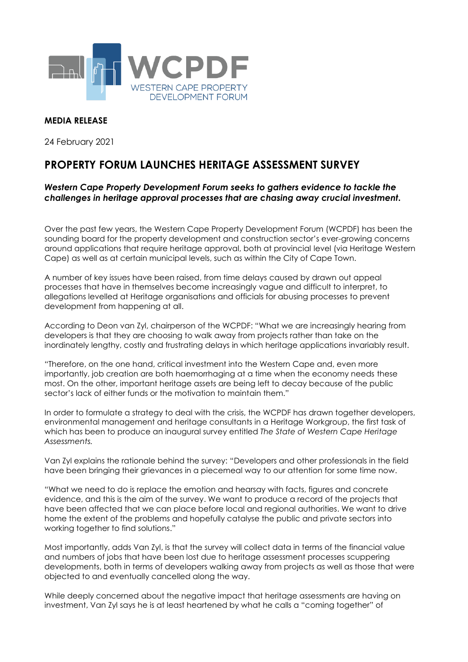

## **MEDIA RELEASE**

24 February 2021

## **PROPERTY FORUM LAUNCHES HERITAGE ASSESSMENT SURVEY**

## *Western Cape Property Development Forum seeks to gathers evidence to tackle the challenges in heritage approval processes that are chasing away crucial investment.*

Over the past few years, the Western Cape Property Development Forum (WCPDF) has been the sounding board for the property development and construction sector's ever-growing concerns around applications that require heritage approval, both at provincial level (via Heritage Western Cape) as well as at certain municipal levels, such as within the City of Cape Town.

A number of key issues have been raised, from time delays caused by drawn out appeal processes that have in themselves become increasingly vague and difficult to interpret, to allegations levelled at Heritage organisations and officials for abusing processes to prevent development from happening at all.

According to Deon van Zyl, chairperson of the WCPDF: "What we are increasingly hearing from developers is that they are choosing to walk away from projects rather than take on the inordinately lengthy, costly and frustrating delays in which heritage applications invariably result.

"Therefore, on the one hand, critical investment into the Western Cape and, even more importantly, job creation are both haemorrhaging at a time when the economy needs these most. On the other, important heritage assets are being left to decay because of the public sector's lack of either funds or the motivation to maintain them."

In order to formulate a strategy to deal with the crisis, the WCPDF has drawn together developers, environmental management and heritage consultants in a Heritage Workgroup, the first task of which has been to produce an inaugural survey entitled *The State of Western Cape Heritage Assessments.*

Van Zyl explains the rationale behind the survey: "Developers and other professionals in the field have been bringing their grievances in a piecemeal way to our attention for some time now.

"What we need to do is replace the emotion and hearsay with facts, figures and concrete evidence, and this is the aim of the survey. We want to produce a record of the projects that have been affected that we can place before local and regional authorities. We want to drive home the extent of the problems and hopefully catalyse the public and private sectors into working together to find solutions."

Most importantly, adds Van Zyl, is that the survey will collect data in terms of the financial value and numbers of jobs that have been lost due to heritage assessment processes scuppering developments, both in terms of developers walking away from projects as well as those that were objected to and eventually cancelled along the way.

While deeply concerned about the negative impact that heritage assessments are having on investment, Van Zyl says he is at least heartened by what he calls a "coming together" of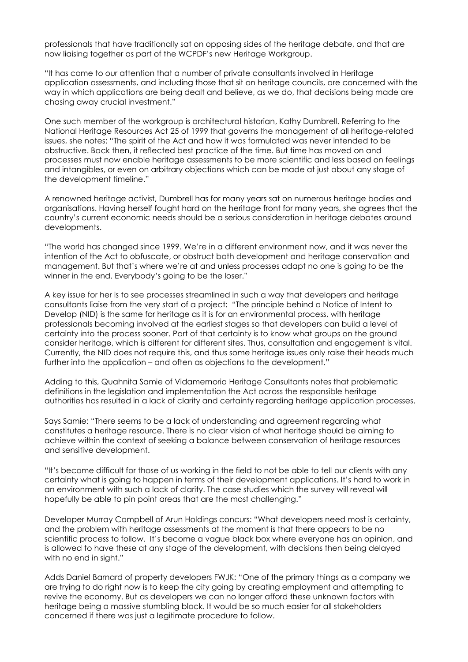professionals that have traditionally sat on opposing sides of the heritage debate, and that are now liaising together as part of the WCPDF's new Heritage Workgroup.

"It has come to our attention that a number of private consultants involved in Heritage application assessments, and including those that sit on heritage councils, are concerned with the way in which applications are being dealt and believe, as we do, that decisions being made are chasing away crucial investment."

One such member of the workgroup is architectural historian, Kathy Dumbrell. Referring to the National Heritage Resources Act 25 of 1999 that governs the management of all heritage-related issues, she notes: "The spirit of the Act and how it was formulated was never intended to be obstructive. Back then, it reflected best practice of the time. But time has moved on and processes must now enable heritage assessments to be more scientific and less based on feelings and intangibles, or even on arbitrary objections which can be made at just about any stage of the development timeline."

A renowned heritage activist, Dumbrell has for many years sat on numerous heritage bodies and organisations. Having herself fought hard on the heritage front for many years, she agrees that the country's current economic needs should be a serious consideration in heritage debates around developments.

"The world has changed since 1999. We're in a different environment now, and it was never the intention of the Act to obfuscate, or obstruct both development and heritage conservation and management. But that's where we're at and unless processes adapt no one is going to be the winner in the end. Everybody's going to be the loser."

A key issue for her is to see processes streamlined in such a way that developers and heritage consultants liaise from the very start of a project: "The principle behind a Notice of Intent to Develop (NID) is the same for heritage as it is for an environmental process, with heritage professionals becoming involved at the earliest stages so that developers can build a level of certainty into the process sooner. Part of that certainty is to know what groups on the ground consider heritage, which is different for different sites. Thus, consultation and engagement is vital. Currently, the NID does not require this, and thus some heritage issues only raise their heads much further into the application – and often as objections to the development."

Adding to this, Quahnita Samie of Vidamemoria Heritage Consultants notes that problematic definitions in the legislation and implementation the Act across the responsible heritage authorities has resulted in a lack of clarity and certainty regarding heritage application processes.

Says Samie: "There seems to be a lack of understanding and agreement regarding what constitutes a heritage resource. There is no clear vision of what heritage should be aiming to achieve within the context of seeking a balance between conservation of heritage resources and sensitive development.

"It's become difficult for those of us working in the field to not be able to tell our clients with any certainty what is going to happen in terms of their development applications. It's hard to work in an environment with such a lack of clarity. The case studies which the survey will reveal will hopefully be able to pin point areas that are the most challenging."

Developer Murray Campbell of Arun Holdings concurs: "What developers need most is certainty, and the problem with heritage assessments at the moment is that there appears to be no scientific process to follow. It's become a vague black box where everyone has an opinion, and is allowed to have these at any stage of the development, with decisions then being delayed with no end in sight."

Adds Daniel Barnard of property developers FWJK: "One of the primary things as a company we are trying to do right now is to keep the city going by creating employment and attempting to revive the economy. But as developers we can no longer afford these unknown factors with heritage being a massive stumbling block. It would be so much easier for all stakeholders concerned if there was just a legitimate procedure to follow.